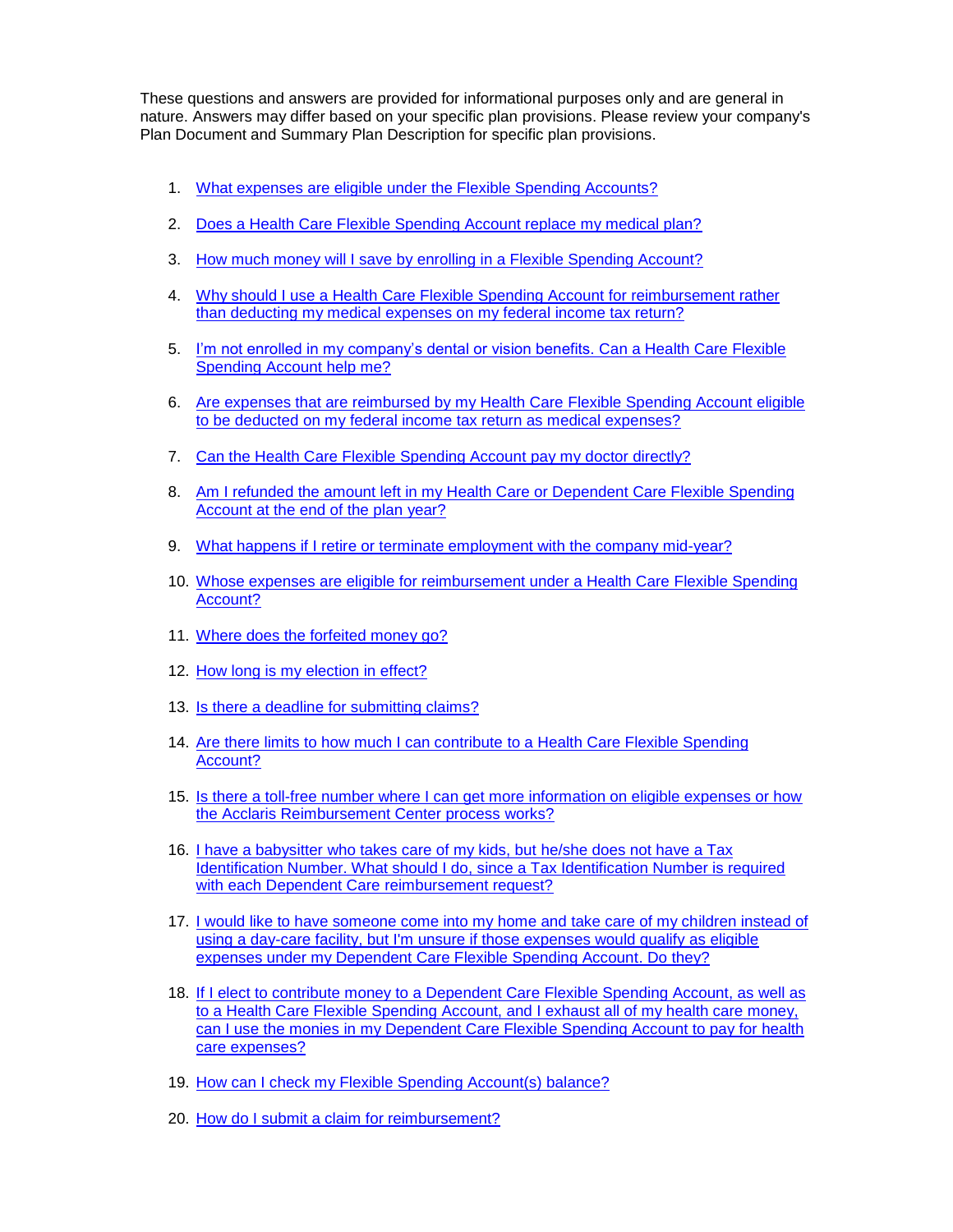These questions and answers are provided for informational purposes only and are general in nature. Answers may differ based on your specific plan provisions. Please review your company's Plan Document and Summary Plan Description for specific plan provisions.

- 1. [What expenses are eligible under the Flexible Spending Accounts?](#page-1-0)
- <span id="page-0-0"></span>2. [Does a Health Care Flexible Spending Account replace my medical plan?](#page-1-0)
- <span id="page-0-1"></span>3. [How much money will I save by enrolling in a Flexible Spending Account?](#page-1-1)
- 4. Why should I use a [Health Care Flexible Spending Account](#page-2-0) for reimbursement rather than deducting my medical [expenses on my federal income tax return?](#page-2-0)
- <span id="page-0-2"></span>5. [I'm not enrolled in my company's dental or vision benefits.](#page-2-1) Can a Health Care Flexible [Spending Account help me?](#page-2-1)
- <span id="page-0-3"></span>6. [Are expenses that are reimbursed by my Health Care Flexible Spending Account](#page-2-2) eligible [to be deducted on my federal income tax return as medical](#page-2-2) expenses?
- <span id="page-0-4"></span>7. [Can the Health Care Flexible Spending Account pay my doctor directly?](#page-2-3)
- <span id="page-0-5"></span>8. [Am I refunded the amount left in my Health Care or Dependent Care Flexible Spending](#page-2-4)  [Account at the end of the plan year?](#page-2-4)
- <span id="page-0-6"></span>9. [What happens if I retire or terminate employment with the company mid-year?](#page-3-0)
- <span id="page-0-7"></span>10. Whose expenses are eligible for reimbursement under a Health Care Flexible Spending [Account?](#page-3-1)
- <span id="page-0-9"></span><span id="page-0-8"></span>11. [Where does the forfeited money go?](#page-3-2)
- 12. [How long is my election in effect?](#page-3-3)
- <span id="page-0-10"></span>13. [Is there a deadline for submitting claims?](#page-3-4)
- <span id="page-0-11"></span>14. [Are there limits to how much I can contribute](#page-4-0) to a Health Care Flexible Spending [Account?](#page-4-0)
- <span id="page-0-12"></span>15. [Is there a toll-free number where I can get more information on eligible expenses or how](#page-4-1)  [the Acclaris Reimbursement Center process](#page-4-1) works?
- <span id="page-0-13"></span>16. [I have a babysitter who takes care of my kids, but he/she does not have a Tax](#page-4-2)  [Identification Number. What should I do,](#page-4-2) since a Tax Identification Number is required [with each Dependent Care reimbursement request?](#page-4-2)
- <span id="page-0-14"></span>17. [I would like to have someone come into my home and take care of my children instead of](#page-4-3)  [using a day-care facility, but I'm unsure if those expenses would qualify](#page-4-3) as eligible [expenses under my Dependent Care Flexible Spending Account. Do they?](#page-4-3)
- <span id="page-0-15"></span>18. [If I elect to contribute money to a Dependent Care Flexible Spending Account,](#page-4-4) as well as [to a Health Care Flexible Spending Account, and I exhaust all of my health care money,](#page-4-4)  [can I use the monies in my Dependent Care Flexible Spending Account to pay for health](#page-4-4)  [care expenses?](#page-4-4)
- <span id="page-0-17"></span><span id="page-0-16"></span>19. [How can I check my Flexible Spending Account\(s\)](#page-4-5) balance?
- 20. How do I submit a claim for reimbursement?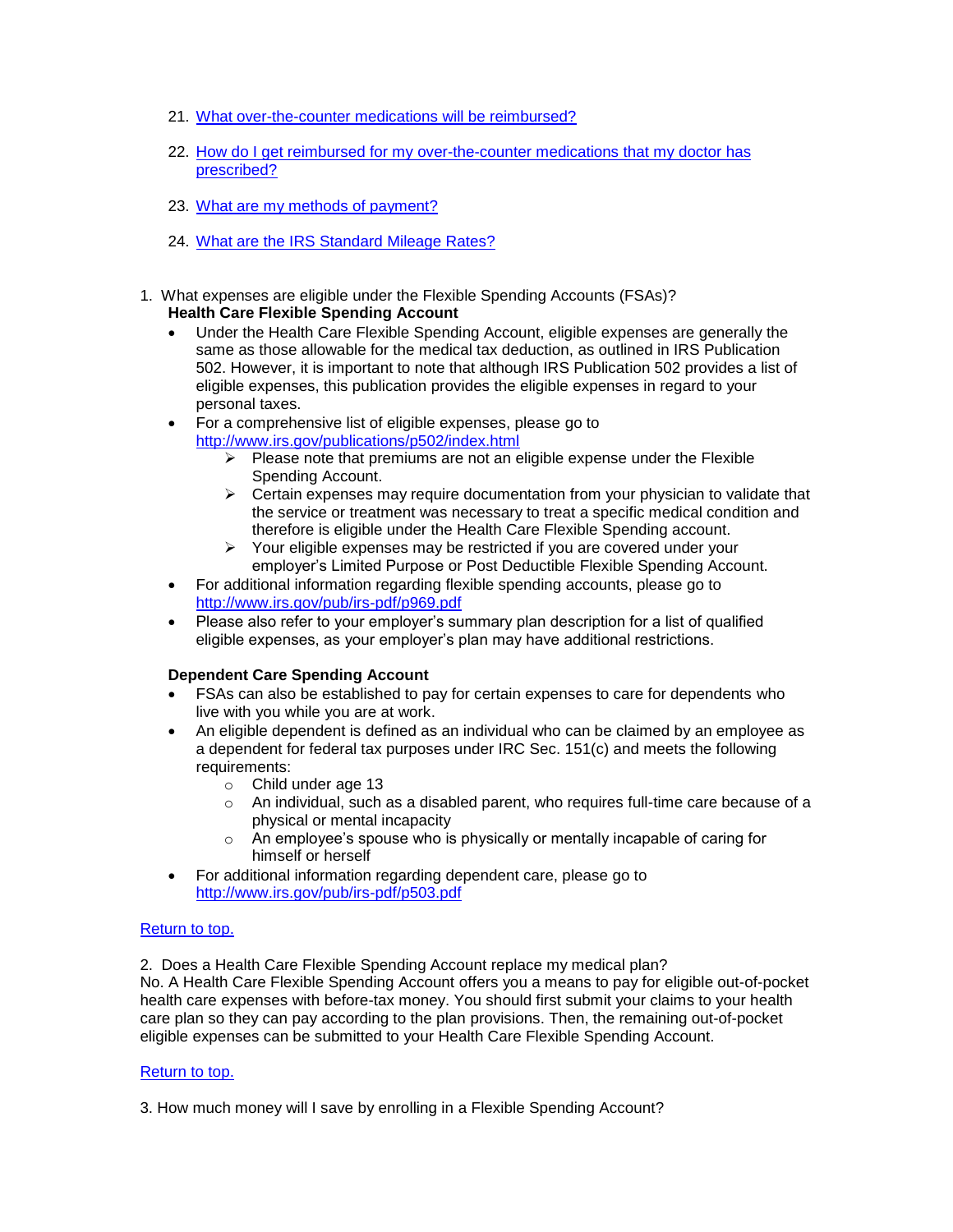- <span id="page-1-2"></span>21. What over-the-counter [medications will be reimbursed?](#page-5-0)
- 22. [How do I get reimbursed for my over-the-counter](#page-5-1) medications that my doctor has [prescribed?](#page-5-1)
- <span id="page-1-3"></span>23. [What are my methods of payment?](#page-5-2)
- 24. What are the IRS Standard Mileage Rates?
- <span id="page-1-4"></span><span id="page-1-0"></span>1. What expenses are eligible under the Flexible Spending Accounts (FSAs)? **Health Care Flexible Spending Account**
	- Under the Health Care Flexible Spending Account, eligible expenses are generally the same as those allowable for the medical tax deduction, as outlined in IRS Publication 502. However, it is important to note that although IRS Publication 502 provides a list of eligible expenses, this publication provides the eligible expenses in regard to your personal taxes.
	- For a comprehensive list of eligible expenses, please go to <http://www.irs.gov/publications/p502/index.html>
		- $\triangleright$  Please note that premiums are not an eligible expense under the Flexible Spending Account.
		- $\triangleright$  Certain expenses may require documentation from your physician to validate that the service or treatment was necessary to treat a specific medical condition and therefore is eligible under the Health Care Flexible Spending account.
		- $\triangleright$  Your eligible expenses may be restricted if you are covered under your employer's Limited Purpose or Post Deductible Flexible Spending Account.
	- For additional information regarding flexible spending accounts, please go to <http://www.irs.gov/pub/irs-pdf/p969.pdf>
	- Please also refer to your employer's summary plan description for a list of qualified eligible expenses, as your employer's plan may have additional restrictions.

# **Dependent Care Spending Account**

- FSAs can also be established to pay for certain expenses to care for dependents who live with you while you are at work.
- An eligible dependent is defined as an individual who can be claimed by an employee as a dependent for federal tax purposes under IRC Sec. 151(c) and meets the following requirements:
	- o Child under age 13
	- $\circ$  An individual, such as a disabled parent, who requires full-time care because of a physical or mental incapacity
	- $\circ$  An employee's spouse who is physically or mentally incapable of caring for himself or herself
- For additional information regarding dependent care, please go to <http://www.irs.gov/pub/irs-pdf/p503.pdf>

# [Return to top.](#page-0-0)

2. Does a Health Care Flexible Spending Account replace my medical plan?

No. A Health Care Flexible Spending Account offers you a means to pay for eligible out-of-pocket health care expenses with before-tax money. You should first submit your claims to your health care plan so they can pay according to the plan provisions. Then, the remaining out-of-pocket eligible expenses can be submitted to your Health Care Flexible Spending Account.

# [Return to top.](#page-0-0)

<span id="page-1-1"></span>3. How much money will I save by enrolling in a Flexible Spending Account?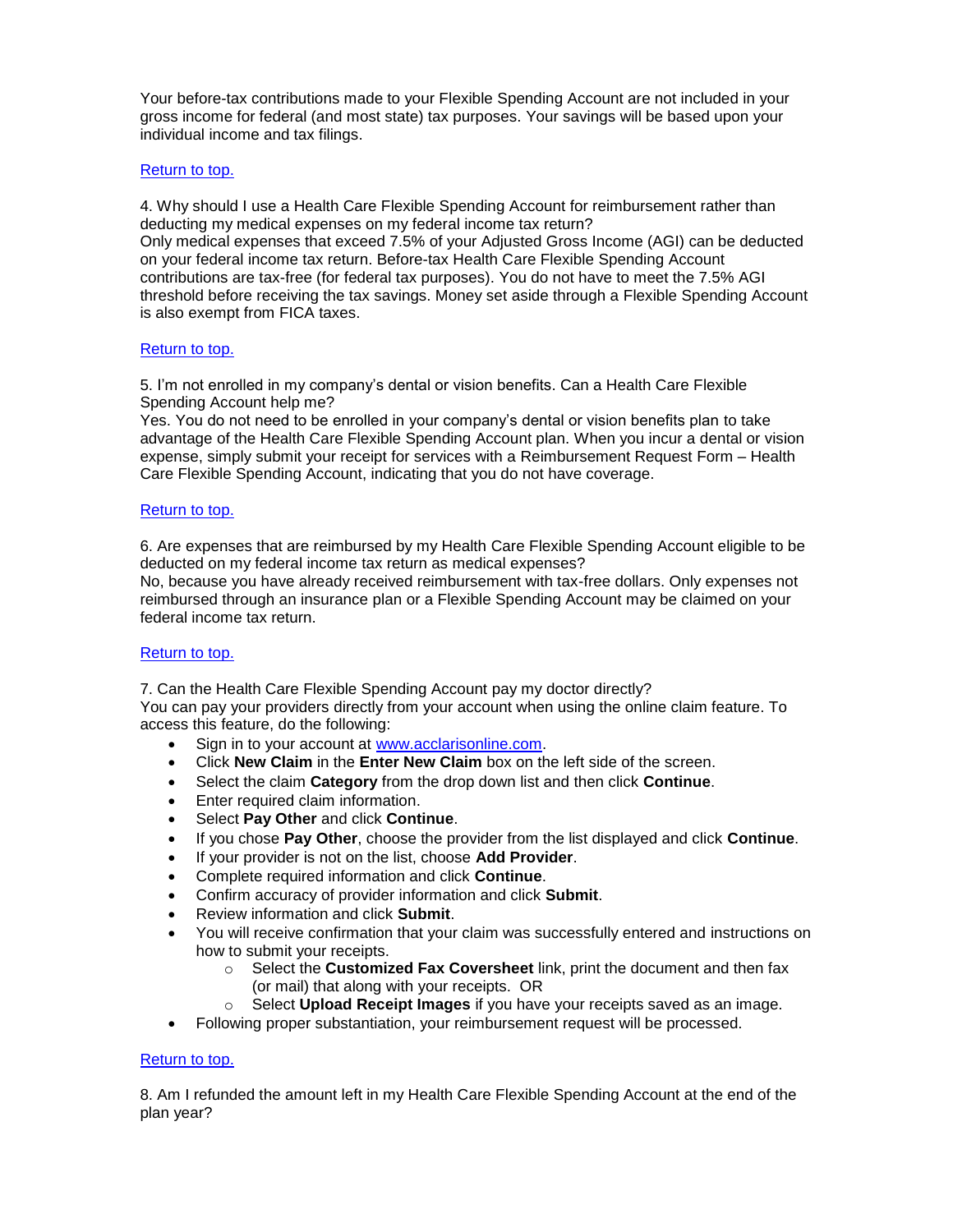Your before-tax contributions made to your Flexible Spending Account are not included in your gross income for federal (and most state) tax purposes. Your savings will be based upon your individual income and tax filings.

# [Return to top.](#page-0-1)

<span id="page-2-0"></span>4. Why should I use a Health Care Flexible Spending Account for reimbursement rather than deducting my medical expenses on my federal income tax return? Only medical expenses that exceed 7.5% of your Adjusted Gross Income (AGI) can be deducted on your federal income tax return. Before-tax Health Care Flexible Spending Account contributions are tax-free (for federal tax purposes). You do not have to meet the 7.5% AGI threshold before receiving the tax savings. Money set aside through a Flexible Spending Account is also exempt from FICA taxes.

### [Return to](#page-0-2) top.

<span id="page-2-1"></span>5. I'm not enrolled in my company's dental or vision benefits. Can a Health Care Flexible Spending Account help me?

Yes. You do not need to be enrolled in your company's dental or vision benefits plan to take advantage of the Health Care Flexible Spending Account plan. When you incur a dental or vision expense, simply submit your receipt for services with a Reimbursement Request Form – Health Care Flexible Spending Account, indicating that you do not have coverage.

### [Return to top.](#page-0-3)

<span id="page-2-2"></span>6. Are expenses that are reimbursed by my Health Care Flexible Spending Account eligible to be deducted on my federal income tax return as medical expenses?

No, because you have already received reimbursement with tax-free dollars. Only expenses not reimbursed through an insurance plan or a Flexible Spending Account may be claimed on your federal income tax return.

#### [Return to top.](#page-0-4)

<span id="page-2-3"></span>7. Can the Health Care Flexible Spending Account pay my doctor directly? You can pay your providers directly from your account when using the online claim feature. To access this feature, do the following:

- Sign in to your account at [www.acclarisonline.com.](http://www.acclarisonline.com/)
- Click **New Claim** in the **Enter New Claim** box on the left side of the screen.
- Select the claim **Category** from the drop down list and then click **Continue**.
- Enter required claim information.
- Select **Pay Other** and click **Continue**.
- If you chose **Pay Other**, choose the provider from the list displayed and click **Continue**.
- If your provider is not on the list, choose **Add Provider**.
- Complete required information and click **Continue**.
- Confirm accuracy of provider information and click **Submit**.
- Review information and click **Submit**.
- You will receive confirmation that your claim was successfully entered and instructions on how to submit your receipts.
	- o Select the **Customized Fax Coversheet** link, print the document and then fax (or mail) that along with your receipts. OR
	- o Select **Upload Receipt Images** if you have your receipts saved as an image.
- Following proper substantiation, your reimbursement request will be processed.

# [Return to top.](#page-0-5)

<span id="page-2-4"></span>8. Am I refunded the amount left in my Health Care Flexible Spending Account at the end of the plan year?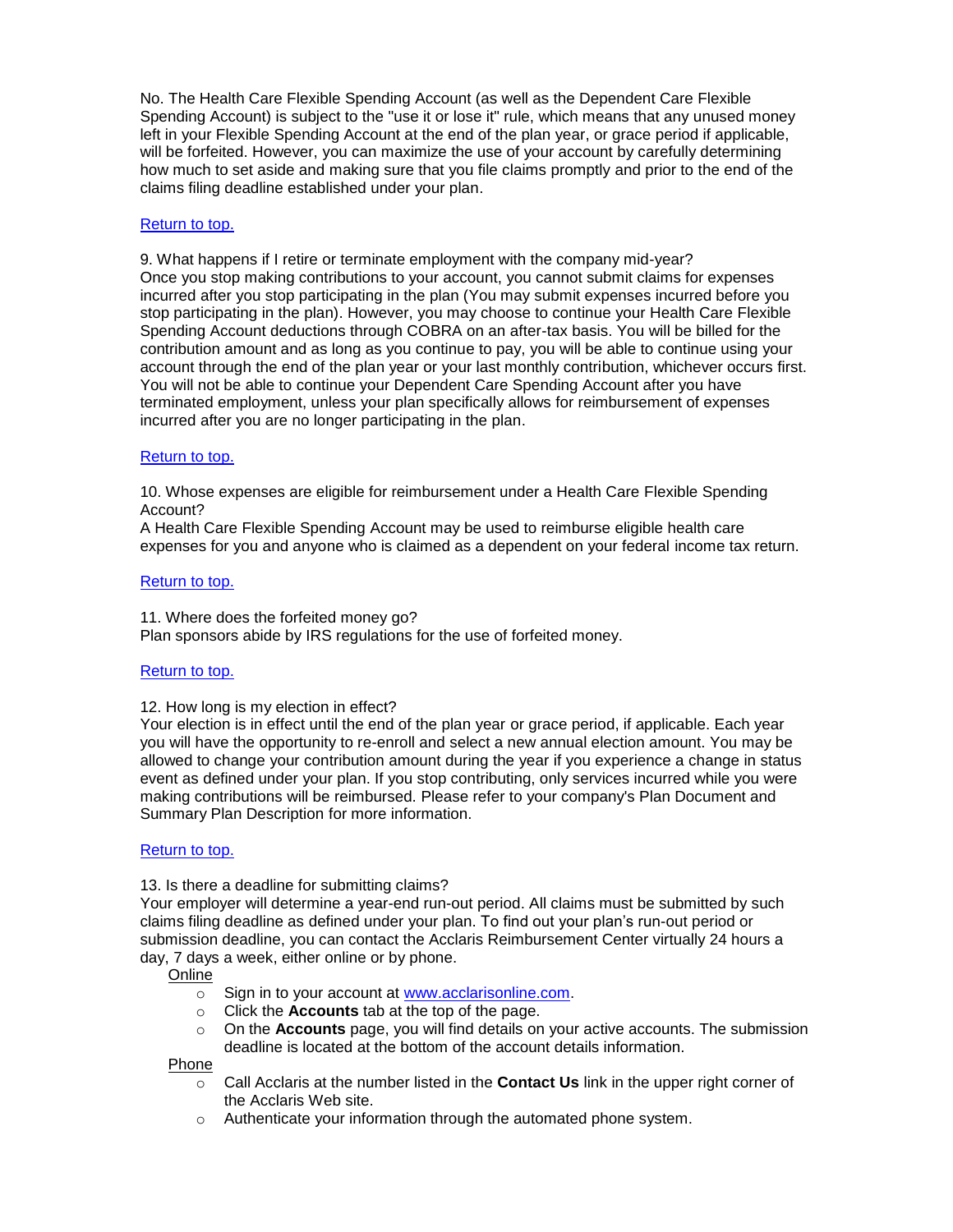No. The Health Care Flexible Spending Account (as well as the Dependent Care Flexible Spending Account) is subject to the "use it or lose it" rule, which means that any unused money left in your Flexible Spending Account at the end of the plan year, or grace period if applicable, will be forfeited. However, you can maximize the use of your account by carefully determining how much to set aside and making sure that you file claims promptly and prior to the end of the claims filing deadline established under your plan.

### [Return to top.](#page-0-6)

<span id="page-3-0"></span>9. What happens if I retire or terminate employment with the company mid-year? Once you stop making contributions to your account, you cannot submit claims for expenses incurred after you stop participating in the plan (You may submit expenses incurred before you stop participating in the plan). However, you may choose to continue your Health Care Flexible Spending Account deductions through COBRA on an after-tax basis. You will be billed for the contribution amount and as long as you continue to pay, you will be able to continue using your account through the end of the plan year or your last monthly contribution, whichever occurs first. You will not be able to continue your Dependent Care Spending Account after you have terminated employment, unless your plan specifically allows for reimbursement of expenses incurred after you are no longer participating in the plan.

### [Return to top.](#page-0-7)

<span id="page-3-1"></span>10. Whose expenses are eligible for reimbursement under a Health Care Flexible Spending Account?

A Health Care Flexible Spending Account may be used to reimburse eligible health care expenses for you and anyone who is claimed as a dependent on your federal income tax return.

### [Return to top.](#page-0-8)

<span id="page-3-2"></span>11. Where does the forfeited money go? Plan sponsors abide by IRS regulations for the use of forfeited money.

#### [Return to top.](#page-0-9)

#### <span id="page-3-3"></span>12. How long is my election in effect?

Your election is in effect until the end of the plan year or grace period, if applicable. Each year you will have the opportunity to re-enroll and select a new annual election amount. You may be allowed to change your contribution amount during the year if you experience a change in status event as defined under your plan. If you stop contributing, only services incurred while you were making contributions will be reimbursed. Please refer to your company's Plan Document and Summary Plan Description for more information.

#### [Return to top.](#page-0-10)

#### <span id="page-3-4"></span>13. Is there a deadline for submitting claims?

Your employer will determine a year-end run-out period. All claims must be submitted by such claims filing deadline as defined under your plan. To find out your plan's run-out period or submission deadline, you can contact the Acclaris Reimbursement Center virtually 24 hours a day, 7 days a week, either online or by phone.

# **Online**

- o Sign in to your account at [www.acclarisonline.com.](http://www.acclarisonline.com/)
- o Click the **Accounts** tab at the top of the page.
- o On the **Accounts** page, you will find details on your active accounts. The submission deadline is located at the bottom of the account details information.

#### Phone

- o Call Acclaris at the number listed in the **Contact Us** link in the upper right corner of the Acclaris Web site.
- o Authenticate your information through the automated phone system.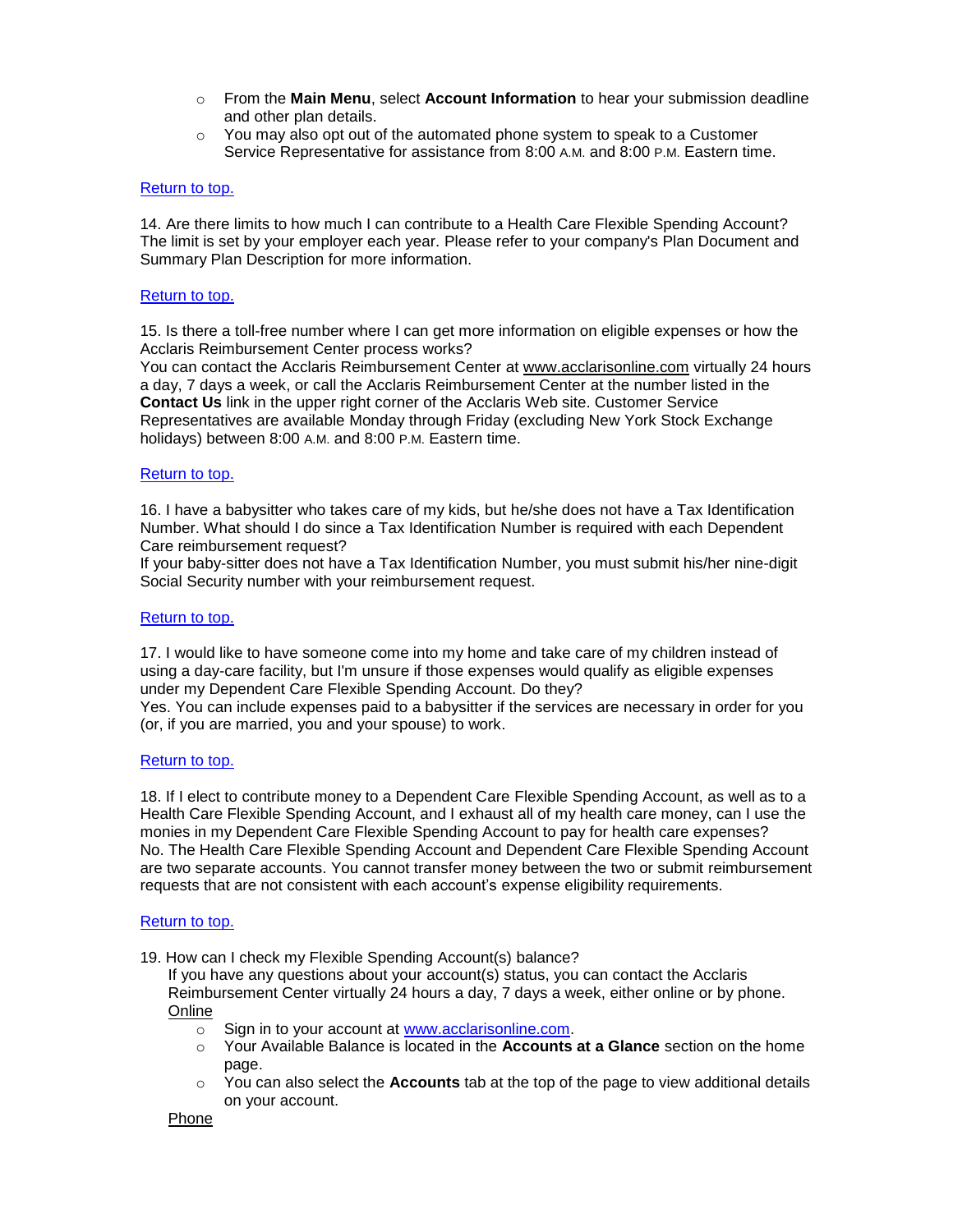- o From the **Main Menu**, select **Account Information** to hear your submission deadline and other plan details.
- $\circ$  You may also opt out of the automated phone system to speak to a Customer Service Representative for assistance from 8:00 A.M. and 8:00 P.M. Eastern time.

# [Return to top.](#page-0-11)

<span id="page-4-0"></span>14. Are there limits to how much I can contribute to a Health Care Flexible Spending Account? The limit is set by your employer each year. Please refer to your company's Plan Document and Summary Plan Description for more information.

#### [Return to top.](#page-0-12)

<span id="page-4-1"></span>15. Is there a toll-free number where I can get more information on eligible expenses or how the Acclaris Reimbursement Center process works?

You can contact the Acclaris Reimbursement Center at [www.acclarisonline.com](http://www.acclarisonline.com/) virtually 24 hours a day, 7 days a week, or call the Acclaris Reimbursement Center at the number listed in the **Contact Us** link in the upper right corner of the Acclaris Web site. Customer Service Representatives are available Monday through Friday (excluding New York Stock Exchange holidays) between 8:00 A.M. and 8:00 P.M. Eastern time.

#### [Return to top.](#page-0-13)

<span id="page-4-2"></span>16. I have a babysitter who takes care of my kids, but he/she does not have a Tax Identification Number. What should I do since a Tax Identification Number is required with each Dependent Care reimbursement request?

If your baby-sitter does not have a Tax Identification Number, you must submit his/her nine-digit Social Security number with your reimbursement request.

#### [Return to top.](#page-0-14)

<span id="page-4-3"></span>17. I would like to have someone come into my home and take care of my children instead of using a day-care facility, but I'm unsure if those expenses would qualify as eligible expenses under my Dependent Care Flexible Spending Account. Do they?

Yes. You can include expenses paid to a babysitter if the services are necessary in order for you (or, if you are married, you and your spouse) to work.

#### [Return to top.](#page-0-15)

<span id="page-4-4"></span>18. If I elect to contribute money to a Dependent Care Flexible Spending Account, as well as to a Health Care Flexible Spending Account, and I exhaust all of my health care money, can I use the monies in my Dependent Care Flexible Spending Account to pay for health care expenses? No. The Health Care Flexible Spending Account and Dependent Care Flexible Spending Account are two separate accounts. You cannot transfer money between the two or submit reimbursement requests that are not consistent with each account's expense eligibility requirements.

# [Return to top.](#page-0-16)

<span id="page-4-5"></span>19. How can I check my Flexible Spending Account(s) balance?

If you have any questions about your account(s) status, you can contact the Acclaris Reimbursement Center virtually 24 hours a day, 7 days a week, either online or by phone. Online

- o Sign in to your account at [www.acclarisonline.com.](http://www.acclarisonline.com/)
- o Your Available Balance is located in the **Accounts at a Glance** section on the home page.
- o You can also select the **Accounts** tab at the top of the page to view additional details on your account.

#### Phone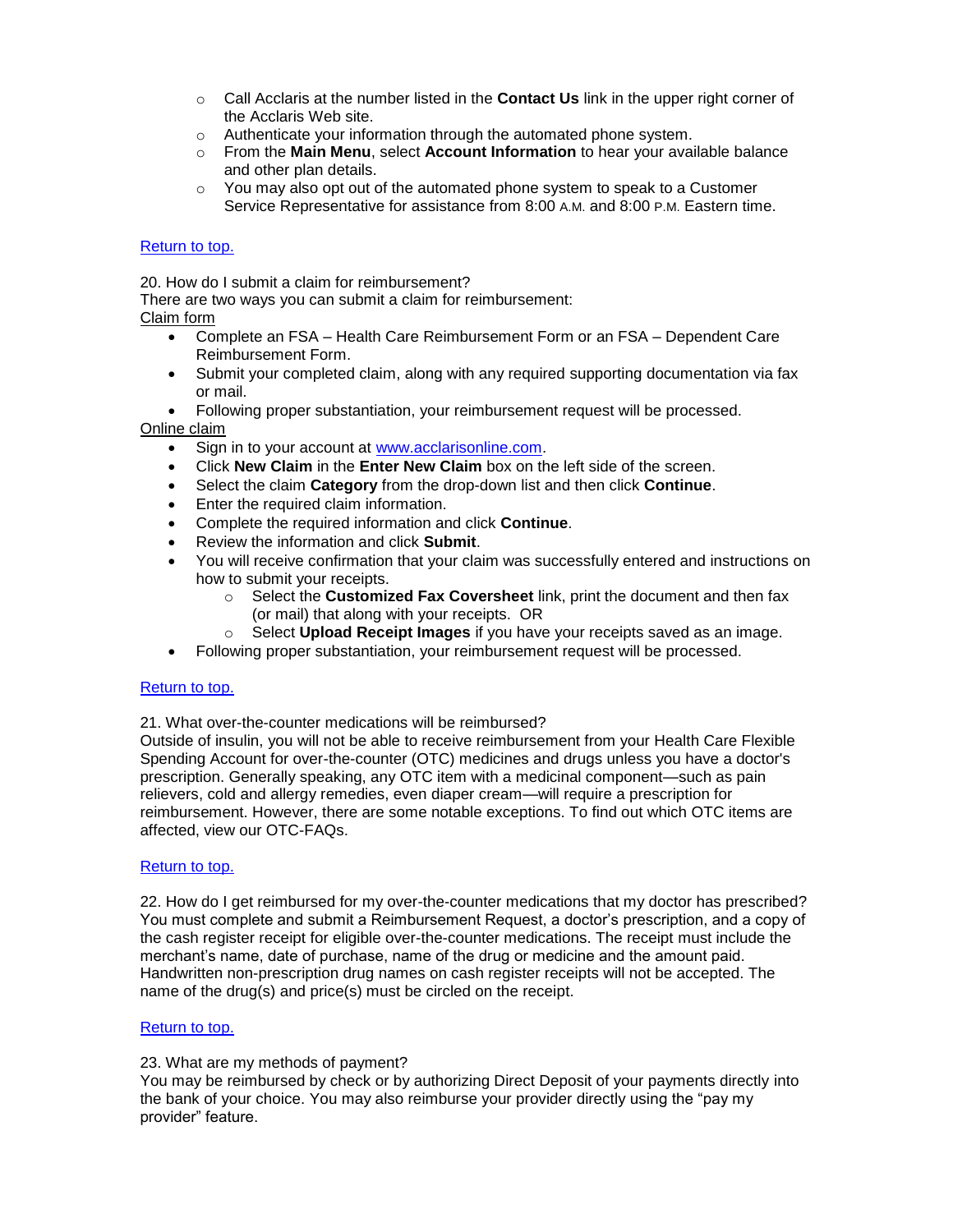- o Call Acclaris at the number listed in the **Contact Us** link in the upper right corner of the Acclaris Web site.
- o Authenticate your information through the automated phone system.
- o From the **Main Menu**, select **Account Information** to hear your available balance and other plan details.
- $\circ$  You may also opt out of the automated phone system to speak to a Customer Service Representative for assistance from 8:00 A.M. and 8:00 P.M. Eastern time.

# [Return to top.](#page-0-17)

20. How do I submit a claim for reimbursement?

There are two ways you can submit a claim for reimbursement:

# Claim form

- Complete an FSA Health Care Reimbursement Form or an FSA Dependent Care Reimbursement Form.
- Submit your completed claim, along with any required supporting documentation via fax or mail.
- Following proper substantiation, your reimbursement request will be processed.

Online claim

- Sign in to your account at [www.acclarisonline.com.](http://www.acclarisonline.com/)
- Click **New Claim** in the **Enter New Claim** box on the left side of the screen.
- Select the claim **Category** from the drop-down list and then click **Continue**.
- Enter the required claim information.
- Complete the required information and click **Continue**.
- Review the information and click **Submit**.
- You will receive confirmation that your claim was successfully entered and instructions on how to submit your receipts.
	- o Select the **Customized Fax Coversheet** link, print the document and then fax (or mail) that along with your receipts. OR
	- o Select **Upload Receipt Images** if you have your receipts saved as an image.
- Following proper substantiation, your reimbursement request will be processed.

# [Return to top.](#page-1-2)

<span id="page-5-0"></span>21. What over-the-counter medications will be reimbursed?

Outside of insulin, you will not be able to receive reimbursement from your Health Care Flexible Spending Account for over-the-counter (OTC) medicines and drugs unless you have a doctor's prescription. Generally speaking, any OTC item with a medicinal component—such as pain relievers, cold and allergy remedies, even diaper cream—will require a prescription for reimbursement. However, there are some notable exceptions. To find out which OTC items are affected, view our OTC-FAQs.

# Return to top.

<span id="page-5-1"></span>22. How do I get reimbursed for my over-the-counter medications that my doctor has prescribed? You must complete and submit a Reimbursement Request, a doctor's prescription, and a copy of the cash register receipt for eligible over-the-counter medications. The receipt must include the merchant's name, date of purchase, name of the drug or medicine and the amount paid. Handwritten non-prescription drug names on cash register receipts will not be accepted. The name of the drug(s) and price(s) must be circled on the receipt.

# [Return to top.](#page-1-3)

# <span id="page-5-2"></span>23. What are my methods of payment?

You may be reimbursed by check or by authorizing Direct Deposit of your payments directly into the bank of your choice. You may also reimburse your provider directly using the "pay my provider" feature.